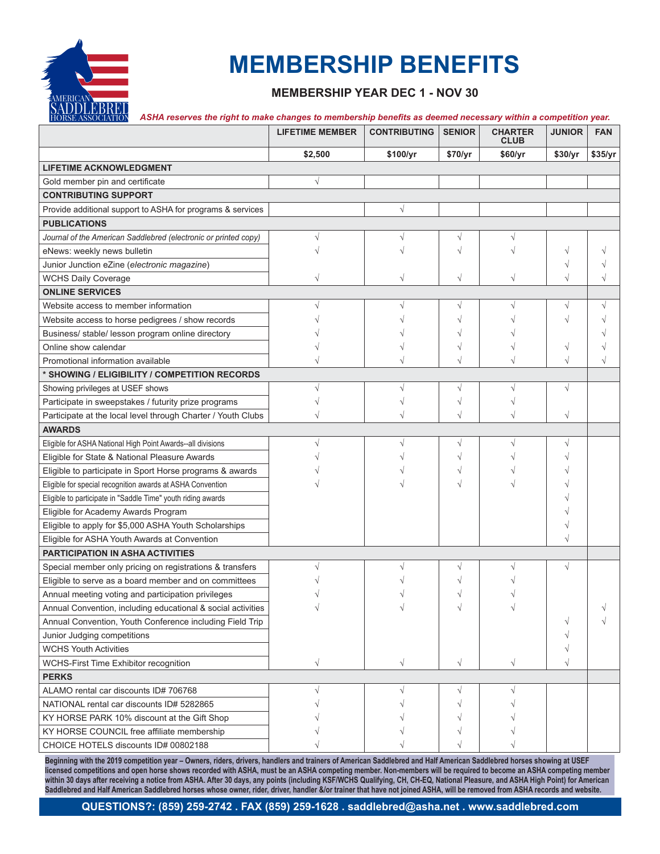

# **MEMBERSHIP BENEFITS**

### **MEMBERSHIP YEAR DEC 1 - NOV 30**

#### *ASHA reserves the right to make changes to membership benefits as deemed necessary within a competition year.*

|                                                                 | <b>LIFETIME MEMBER</b> | <b>CONTRIBUTING</b> | <b>SENIOR</b> | <b>CHARTER</b><br><b>CLUB</b> | <b>JUNIOR</b> | <b>FAN</b> |
|-----------------------------------------------------------------|------------------------|---------------------|---------------|-------------------------------|---------------|------------|
|                                                                 | \$2,500                | \$100/yr            | \$70/yr       | \$60/yr                       | \$30/yr       | \$35/yr    |
| <b>LIFETIME ACKNOWLEDGMENT</b>                                  |                        |                     |               |                               |               |            |
| Gold member pin and certificate                                 | $\sqrt{}$              |                     |               |                               |               |            |
| <b>CONTRIBUTING SUPPORT</b>                                     |                        |                     |               |                               |               |            |
| Provide additional support to ASHA for programs & services      |                        | $\sqrt{}$           |               |                               |               |            |
| <b>PUBLICATIONS</b>                                             |                        |                     |               |                               |               |            |
| Journal of the American Saddlebred (electronic or printed copy) |                        |                     |               |                               |               |            |
| eNews: weekly news bulletin                                     |                        |                     |               |                               | V             |            |
| Junior Junction eZine (electronic magazine)                     |                        |                     |               |                               |               |            |
| <b>WCHS Daily Coverage</b>                                      |                        |                     |               |                               | $\sqrt{}$     |            |
| <b>ONLINE SERVICES</b>                                          |                        |                     |               |                               |               |            |
| Website access to member information                            |                        |                     | V             |                               |               | $\sqrt{}$  |
| Website access to horse pedigrees / show records                |                        |                     |               |                               |               |            |
| Business/ stable/ lesson program online directory               |                        |                     |               |                               |               |            |
| Online show calendar                                            |                        |                     |               |                               | V             |            |
| Promotional information available                               |                        |                     |               |                               | V             |            |
| * SHOWING / ELIGIBILITY / COMPETITION RECORDS                   |                        |                     |               |                               |               |            |
| Showing privileges at USEF shows                                |                        |                     |               |                               | $\sqrt{}$     |            |
| Participate in sweepstakes / futurity prize programs            |                        |                     |               |                               |               |            |
| Participate at the local level through Charter / Youth Clubs    |                        |                     |               |                               | $\sqrt{}$     |            |
| <b>AWARDS</b>                                                   |                        |                     |               |                               |               |            |
| Eligible for ASHA National High Point Awards--all divisions     |                        |                     |               |                               |               |            |
| Eligible for State & National Pleasure Awards                   |                        |                     |               |                               |               |            |
| Eligible to participate in Sport Horse programs & awards        |                        |                     |               |                               |               |            |
| Eligible for special recognition awards at ASHA Convention      |                        |                     |               |                               |               |            |
| Eligible to participate in "Saddle Time" youth riding awards    |                        |                     |               |                               |               |            |
| Eligible for Academy Awards Program                             |                        |                     |               |                               |               |            |
| Eligible to apply for \$5,000 ASHA Youth Scholarships           |                        |                     |               |                               |               |            |
| Eligible for ASHA Youth Awards at Convention                    |                        |                     |               |                               |               |            |
| <b>PARTICIPATION IN ASHA ACTIVITIES</b>                         |                        |                     |               |                               |               |            |
| Special member only pricing on registrations & transfers        |                        |                     |               |                               | $\sqrt{}$     |            |
| Eligible to serve as a board member and on committees           |                        |                     |               |                               |               |            |
| Annual meeting voting and participation privileges              |                        |                     |               |                               |               |            |
| Annual Convention, including educational & social activities    |                        |                     |               |                               |               |            |
| Annual Convention, Youth Conference including Field Trip        |                        |                     |               |                               | V             |            |
| Junior Judging competitions                                     |                        |                     |               |                               |               |            |
| <b>WCHS Youth Activities</b>                                    |                        |                     |               |                               |               |            |
| WCHS-First Time Exhibitor recognition                           | $\sqrt{}$              | $\sqrt{}$           | $\sqrt{ }$    | $\sqrt{}$                     | $\sqrt{}$     |            |
| <b>PERKS</b>                                                    |                        |                     |               |                               |               |            |
| ALAMO rental car discounts ID# 706768                           |                        |                     |               |                               |               |            |
| NATIONAL rental car discounts ID# 5282865                       |                        |                     |               |                               |               |            |
| KY HORSE PARK 10% discount at the Gift Shop                     |                        |                     |               |                               |               |            |
| KY HORSE COUNCIL free affiliate membership                      |                        |                     |               |                               |               |            |
| CHOICE HOTELS discounts ID# 00802188                            |                        |                     |               |                               |               |            |

**Beginning with the 2019 competition year – Owners, riders, drivers, handlers and trainers of American Saddlebred and Half American Saddlebred horses showing at USEF licensed competitions and open horse shows recorded with ASHA, must be an ASHA competing member. Non-members will be required to become an ASHA competing member within 30 days after receiving a notice from ASHA. After 30 days, any points (including KSF/WCHS Qualifying, CH, CH-EQ, National Pleasure, and ASHA High Point) for American Saddlebred and Half American Saddlebred horses whose owner, rider, driver, handler &/or trainer that have not joined ASHA, will be removed from ASHA records and website.**

**QUESTIONS?: (859) 259-2742 . FAX (859) 259-1628 . saddlebred@asha.net . www.saddlebred.com**